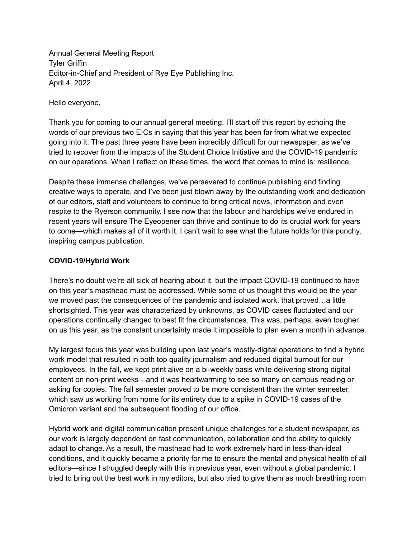Annual General Meeting Report Tyler Griffin Editor-in-Chief and President of Rye Eye Publishing Inc. April 4, 2022

Hello everyone,

Thank you for coming to our annual general meeting. I'll start off this report by echoing the words of our previous two EICs in saying that this year has been far from what we expected going into it. The past three years have been incredibly difficult for our newspaper, as we've tried to recover from the impacts of the Student Choice Initiative and the COVID-19 pandemic on our operations. When I reflect on these times, the word that comes to mind is: resilience.

Despite these immense challenges, we've persevered to continue publishing and finding creative ways to operate, and I've been just blown away by the outstanding work and dedication of our editors, staff and volunteers to continue to bring critical news, information and even respite to the Ryerson community. I see now that the labour and hardships we've endured in recent years will ensure The Eyeopener can thrive and continue to do its crucial work for years to come—which makes all of it worth it. I can't wait to see what the future holds for this punchy, inspiring campus publication.

#### **COVID-19/Hybrid Work**

There's no doubt we're all sick of hearing about it, but the impact COVID-19 continued to have on this year's masthead must be addressed. While some of us thought this would be the year we moved past the consequences of the pandemic and isolated work, that proved…a little shortsighted. This year was characterized by unknowns, as COVID cases fluctuated and our operations continually changed to best fit the circumstances. This was, perhaps, even tougher on us this year, as the constant uncertainty made it impossible to plan even a month in advance.

My largest focus this year was building upon last year's mostly-digital operations to find a hybrid work model that resulted in both top quality journalism and reduced digital burnout for our employees. In the fall, we kept print alive on a bi-weekly basis while delivering strong digital content on non-print weeks—and it was heartwarming to see so many on campus reading or asking for copies. The fall semester proved to be more consistent than the winter semester, which saw us working from home for its entirety due to a spike in COVID-19 cases of the Omicron variant and the subsequent flooding of our office.

Hybrid work and digital communication present unique challenges for a student newspaper, as our work is largely dependent on fast communication, collaboration and the ability to quickly adapt to change. As a result, the masthead had to work extremely hard in less-than-ideal conditions, and it quickly became a priority for me to ensure the mental and physical health of all editors—since I struggled deeply with this in previous year, even without a global pandemic. I tried to bring out the best work in my editors, but also tried to give them as much breathing room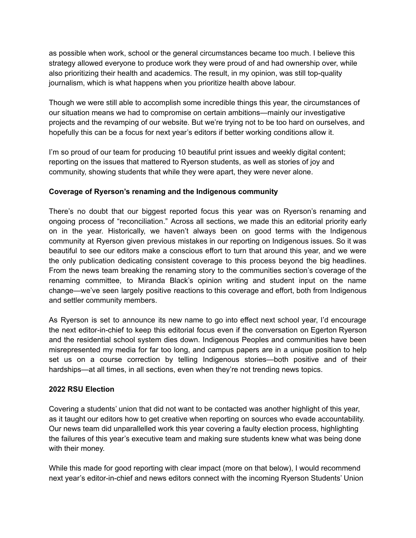as possible when work, school or the general circumstances became too much. I believe this strategy allowed everyone to produce work they were proud of and had ownership over, while also prioritizing their health and academics. The result, in my opinion, was still top-quality journalism, which is what happens when you prioritize health above labour.

Though we were still able to accomplish some incredible things this year, the circumstances of our situation means we had to compromise on certain ambitions—mainly our investigative projects and the revamping of our website. But we're trying not to be too hard on ourselves, and hopefully this can be a focus for next year's editors if better working conditions allow it.

I'm so proud of our team for producing 10 beautiful print issues and weekly digital content; reporting on the issues that mattered to Ryerson students, as well as stories of joy and community, showing students that while they were apart, they were never alone.

## **Coverage of Ryerson's renaming and the Indigenous community**

There's no doubt that our biggest reported focus this year was on Ryerson's renaming and ongoing process of "reconciliation." Across all sections, we made this an editorial priority early on in the year. Historically, we haven't always been on good terms with the Indigenous community at Ryerson given previous mistakes in our reporting on Indigenous issues. So it was beautiful to see our editors make a conscious effort to turn that around this year, and we were the only publication dedicating consistent coverage to this process beyond the big headlines. From the news team breaking the renaming story to the communities section's coverage of the renaming committee, to Miranda Black's opinion writing and student input on the name change—we've seen largely positive reactions to this coverage and effort, both from Indigenous and settler community members.

As Ryerson is set to announce its new name to go into effect next school year, I'd encourage the next editor-in-chief to keep this editorial focus even if the conversation on Egerton Ryerson and the residential school system dies down. Indigenous Peoples and communities have been misrepresented my media for far too long, and campus papers are in a unique position to help set us on a course correction by telling Indigenous stories—both positive and of their hardships—at all times, in all sections, even when they're not trending news topics.

#### **2022 RSU Election**

Covering a students' union that did not want to be contacted was another highlight of this year, as it taught our editors how to get creative when reporting on sources who evade accountability. Our news team did unparallelled work this year covering a faulty election process, highlighting the failures of this year's executive team and making sure students knew what was being done with their money.

While this made for good reporting with clear impact (more on that below), I would recommend next year's editor-in-chief and news editors connect with the incoming Ryerson Students' Union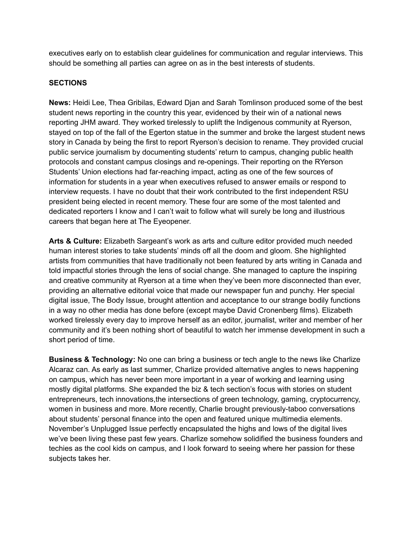executives early on to establish clear guidelines for communication and regular interviews. This should be something all parties can agree on as in the best interests of students.

## **SECTIONS**

**News:** Heidi Lee, Thea Gribilas, Edward Djan and Sarah Tomlinson produced some of the best student news reporting in the country this year, evidenced by their win of a national news reporting JHM award. They worked tirelessly to uplift the Indigenous community at Ryerson, stayed on top of the fall of the Egerton statue in the summer and broke the largest student news story in Canada by being the first to report Ryerson's decision to rename. They provided crucial public service journalism by documenting students' return to campus, changing public health protocols and constant campus closings and re-openings. Their reporting on the RYerson Students' Union elections had far-reaching impact, acting as one of the few sources of information for students in a year when executives refused to answer emails or respond to interview requests. I have no doubt that their work contributed to the first independent RSU president being elected in recent memory. These four are some of the most talented and dedicated reporters I know and I can't wait to follow what will surely be long and illustrious careers that began here at The Eyeopener.

**Arts & Culture:** Elizabeth Sargeant's work as arts and culture editor provided much needed human interest stories to take students' minds off all the doom and gloom. She highlighted artists from communities that have traditionally not been featured by arts writing in Canada and told impactful stories through the lens of social change. She managed to capture the inspiring and creative community at Ryerson at a time when they've been more disconnected than ever, providing an alternative editorial voice that made our newspaper fun and punchy. Her special digital issue, The Body Issue, brought attention and acceptance to our strange bodily functions in a way no other media has done before (except maybe David Cronenberg films). Elizabeth worked tirelessly every day to improve herself as an editor, journalist, writer and member of her community and it's been nothing short of beautiful to watch her immense development in such a short period of time.

**Business & Technology:** No one can bring a business or tech angle to the news like Charlize Alcaraz can. As early as last summer, Charlize provided alternative angles to news happening on campus, which has never been more important in a year of working and learning using mostly digital platforms. She expanded the biz & tech section's focus with stories on student entrepreneurs, tech innovations,the intersections of green technology, gaming, cryptocurrency, women in business and more. More recently, Charlie brought previously-taboo conversations about students' personal finance into the open and featured unique multimedia elements. November's Unplugged Issue perfectly encapsulated the highs and lows of the digital lives we've been living these past few years. Charlize somehow solidified the business founders and techies as the cool kids on campus, and I look forward to seeing where her passion for these subjects takes her.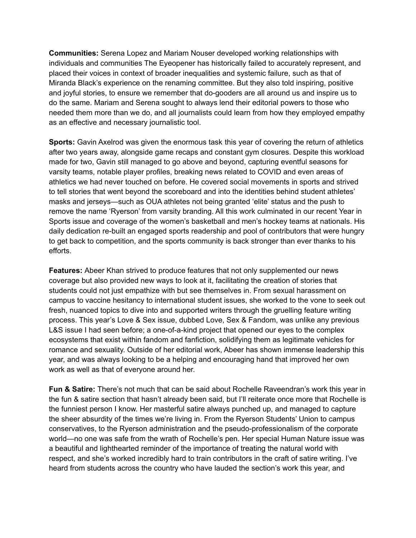**Communities:** Serena Lopez and Mariam Nouser developed working relationships with individuals and communities The Eyeopener has historically failed to accurately represent, and placed their voices in context of broader inequalities and systemic failure, such as that of Miranda Black's experience on the renaming committee. But they also told inspiring, positive and joyful stories, to ensure we remember that do-gooders are all around us and inspire us to do the same. Mariam and Serena sought to always lend their editorial powers to those who needed them more than we do, and all journalists could learn from how they employed empathy as an effective and necessary journalistic tool.

**Sports:** Gavin Axelrod was given the enormous task this year of covering the return of athletics after two years away, alongside game recaps and constant gym closures. Despite this workload made for two, Gavin still managed to go above and beyond, capturing eventful seasons for varsity teams, notable player profiles, breaking news related to COVID and even areas of athletics we had never touched on before. He covered social movements in sports and strived to tell stories that went beyond the scoreboard and into the identities behind student athletes' masks and jerseys—such as OUA athletes not being granted 'elite' status and the push to remove the name 'Ryerson' from varsity branding. All this work culminated in our recent Year in Sports issue and coverage of the women's basketball and men's hockey teams at nationals. His daily dedication re-built an engaged sports readership and pool of contributors that were hungry to get back to competition, and the sports community is back stronger than ever thanks to his efforts.

**Features:** Abeer Khan strived to produce features that not only supplemented our news coverage but also provided new ways to look at it, facilitating the creation of stories that students could not just empathize with but see themselves in. From sexual harassment on campus to vaccine hesitancy to international student issues, she worked to the vone to seek out fresh, nuanced topics to dive into and supported writers through the gruelling feature writing process. This year's Love & Sex issue, dubbed Love, Sex & Fandom, was unlike any previous L&S issue I had seen before; a one-of-a-kind project that opened our eyes to the complex ecosystems that exist within fandom and fanfiction, solidifying them as legitimate vehicles for romance and sexuality. Outside of her editorial work, Abeer has shown immense leadership this year, and was always looking to be a helping and encouraging hand that improved her own work as well as that of everyone around her.

**Fun & Satire:** There's not much that can be said about Rochelle Raveendran's work this year in the fun & satire section that hasn't already been said, but I'll reiterate once more that Rochelle is the funniest person I know. Her masterful satire always punched up, and managed to capture the sheer absurdity of the times we're living in. From the Ryerson Students' Union to campus conservatives, to the Ryerson administration and the pseudo-professionalism of the corporate world—no one was safe from the wrath of Rochelle's pen. Her special Human Nature issue was a beautiful and lighthearted reminder of the importance of treating the natural world with respect, and she's worked incredibly hard to train contributors in the craft of satire writing. I've heard from students across the country who have lauded the section's work this year, and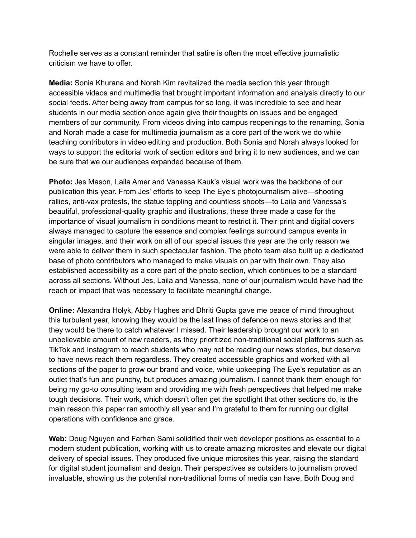Rochelle serves as a constant reminder that satire is often the most effective journalistic criticism we have to offer.

**Media:** Sonia Khurana and Norah Kim revitalized the media section this year through accessible videos and multimedia that brought important information and analysis directly to our social feeds. After being away from campus for so long, it was incredible to see and hear students in our media section once again give their thoughts on issues and be engaged members of our community. From videos diving into campus reopenings to the renaming, Sonia and Norah made a case for multimedia journalism as a core part of the work we do while teaching contributors in video editing and production. Both Sonia and Norah always looked for ways to support the editorial work of section editors and bring it to new audiences, and we can be sure that we our audiences expanded because of them.

**Photo:** Jes Mason, Laila Amer and Vanessa Kauk's visual work was the backbone of our publication this year. From Jes' efforts to keep The Eye's photojournalism alive—shooting rallies, anti-vax protests, the statue toppling and countless shoots—to Laila and Vanessa's beautiful, professional-quality graphic and illustrations, these three made a case for the importance of visual journalism in conditions meant to restrict it. Their print and digital covers always managed to capture the essence and complex feelings surround campus events in singular images, and their work on all of our special issues this year are the only reason we were able to deliver them in such spectacular fashion. The photo team also built up a dedicated base of photo contributors who managed to make visuals on par with their own. They also established accessibility as a core part of the photo section, which continues to be a standard across all sections. Without Jes, Laila and Vanessa, none of our journalism would have had the reach or impact that was necessary to facilitate meaningful change.

**Online:** Alexandra Holyk, Abby Hughes and Dhriti Gupta gave me peace of mind throughout this turbulent year, knowing they would be the last lines of defence on news stories and that they would be there to catch whatever I missed. Their leadership brought our work to an unbelievable amount of new readers, as they prioritized non-traditional social platforms such as TikTok and Instagram to reach students who may not be reading our news stories, but deserve to have news reach them regardless. They created accessible graphics and worked with all sections of the paper to grow our brand and voice, while upkeeping The Eye's reputation as an outlet that's fun and punchy, but produces amazing journalism. I cannot thank them enough for being my go-to consulting team and providing me with fresh perspectives that helped me make tough decisions. Their work, which doesn't often get the spotlight that other sections do, is the main reason this paper ran smoothly all year and I'm grateful to them for running our digital operations with confidence and grace.

**Web:** Doug Nguyen and Farhan Sami solidified their web developer positions as essential to a modern student publication, working with us to create amazing microsites and elevate our digital delivery of special issues. They produced five unique microsites this year, raising the standard for digital student journalism and design. Their perspectives as outsiders to journalism proved invaluable, showing us the potential non-traditional forms of media can have. Both Doug and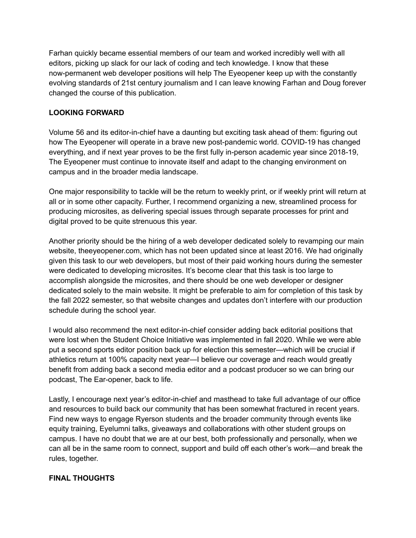Farhan quickly became essential members of our team and worked incredibly well with all editors, picking up slack for our lack of coding and tech knowledge. I know that these now-permanent web developer positions will help The Eyeopener keep up with the constantly evolving standards of 21st century journalism and I can leave knowing Farhan and Doug forever changed the course of this publication.

# **LOOKING FORWARD**

Volume 56 and its editor-in-chief have a daunting but exciting task ahead of them: figuring out how The Eyeopener will operate in a brave new post-pandemic world. COVID-19 has changed everything, and if next year proves to be the first fully in-person academic year since 2018-19, The Eyeopener must continue to innovate itself and adapt to the changing environment on campus and in the broader media landscape.

One major responsibility to tackle will be the return to weekly print, or if weekly print will return at all or in some other capacity. Further, I recommend organizing a new, streamlined process for producing microsites, as delivering special issues through separate processes for print and digital proved to be quite strenuous this year.

Another priority should be the hiring of a web developer dedicated solely to revamping our main website, theeyeopener.com, which has not been updated since at least 2016. We had originally given this task to our web developers, but most of their paid working hours during the semester were dedicated to developing microsites. It's become clear that this task is too large to accomplish alongside the microsites, and there should be one web developer or designer dedicated solely to the main website. It might be preferable to aim for completion of this task by the fall 2022 semester, so that website changes and updates don't interfere with our production schedule during the school year.

I would also recommend the next editor-in-chief consider adding back editorial positions that were lost when the Student Choice Initiative was implemented in fall 2020. While we were able put a second sports editor position back up for election this semester—which will be crucial if athletics return at 100% capacity next year—I believe our coverage and reach would greatly benefit from adding back a second media editor and a podcast producer so we can bring our podcast, The Ear-opener, back to life.

Lastly, I encourage next year's editor-in-chief and masthead to take full advantage of our office and resources to build back our community that has been somewhat fractured in recent years. Find new ways to engage Ryerson students and the broader community through events like equity training, Eyelumni talks, giveaways and collaborations with other student groups on campus. I have no doubt that we are at our best, both professionally and personally, when we can all be in the same room to connect, support and build off each other's work—and break the rules, together.

# **FINAL THOUGHTS**